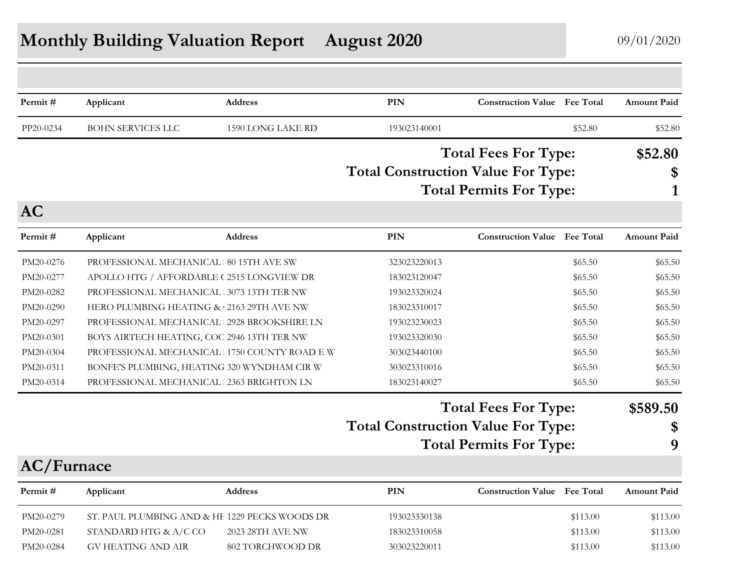# **Monthly Building Valuation Report August 2020** 09/01/2020

| Permit#    | Applicant                                      | Address           | PIN                                       | <b>Construction Value</b> Fee Total |          | <b>Amount Paid</b> |
|------------|------------------------------------------------|-------------------|-------------------------------------------|-------------------------------------|----------|--------------------|
|            |                                                |                   |                                           |                                     |          |                    |
| PP20-0234  | <b>BOHN SERVICES LLC</b>                       | 1590 LONG LAKE RD | 193023140001                              |                                     | \$52.80  | \$52.80            |
|            |                                                |                   |                                           | <b>Total Fees For Type:</b>         |          | \$52.80            |
|            |                                                |                   | <b>Total Construction Value For Type:</b> |                                     |          | \$                 |
|            |                                                |                   |                                           | <b>Total Permits For Type:</b>      |          | 1                  |
| <b>AC</b>  |                                                |                   |                                           |                                     |          |                    |
| Permit#    | Applicant                                      | <b>Address</b>    | <b>PIN</b>                                | <b>Construction Value</b> Fee Total |          | <b>Amount Paid</b> |
| PM20-0276  | PROFESSIONAL MECHANICAL 80 15TH AVE SW         |                   | 323023220013                              |                                     | \$65.50  | \$65.50            |
| PM20-0277  | APOLLO HTG / AFFORDABLE (2515 LONGVIEW DR      |                   | 183023120047                              |                                     | \$65.50  | \$65.50            |
| PM20-0282  | PROFESSIONAL MECHANICAL 3073 13TH TER NW       |                   | 193023320024                              |                                     | \$65.50  | \$65.50            |
| PM20-0290  | HERO PLUMBING HEATING & 2163 29TH AVE NW       |                   | 183023310017                              |                                     | \$65.50  | \$65.50            |
| PM20-0297  | PROFESSIONAL MECHANICAL 2928 BROOKSHIRE LN     |                   | 193023230023                              |                                     | \$65.50  | \$65.50            |
| PM20-0301  | BOYS AIRTECH HEATING, COC 2946 13TH TER NW     |                   | 193023320030                              |                                     | \$65.50  | \$65.50            |
| PM20-0304  | PROFESSIONAL MECHANICAL 1750 COUNTY ROAD E W   |                   | 303023440100                              |                                     | \$65.50  | \$65.50            |
| PM20-0311  | BONFE'S PLUMBING, HEATING 320 WYNDHAM CIR W    |                   | 303023310016                              |                                     | \$65.50  | \$65.50            |
| PM20-0314  | PROFESSIONAL MECHANICAL 2363 BRIGHTON LN       |                   | 183023140027                              |                                     | \$65.50  | \$65.50            |
|            |                                                |                   |                                           | <b>Total Fees For Type:</b>         |          | \$589.50           |
|            |                                                |                   | <b>Total Construction Value For Type:</b> |                                     |          | \$                 |
|            |                                                |                   |                                           | <b>Total Permits For Type:</b>      |          | 9                  |
| AC/Furnace |                                                |                   |                                           |                                     |          |                    |
| Permit#    | Applicant                                      | <b>Address</b>    | PIN                                       | <b>Construction Value</b> Fee Total |          | <b>Amount Paid</b> |
| PM20-0279  | ST. PAUL PLUMBING AND & HE 1229 PECKS WOODS DR |                   | 193023330138                              |                                     | \$113.00 | \$113.00           |
| PM20-0281  | STANDARD HTG & A/C CO                          | 2023 28TH AVE NW  | 183023310058                              |                                     | \$113.00 | \$113.00           |
| PM20-0284  | <b>GV HEATING AND AIR</b>                      | 802 TORCHWOOD DR  | 303023220011                              |                                     | \$113.00 | \$113.00           |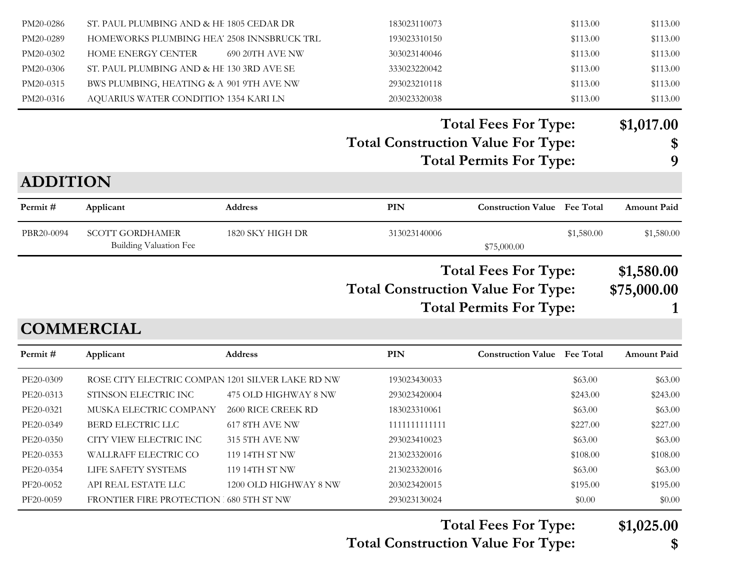| PM20-0286       | ST. PAUL PLUMBING AND & HE 1805 CEDAR DR                |                      | 183023110073                              |                                                               | \$113.00   | \$113.00                  |
|-----------------|---------------------------------------------------------|----------------------|-------------------------------------------|---------------------------------------------------------------|------------|---------------------------|
| PM20-0289       | HOMEWORKS PLUMBING HEA' 2508 INNSBRUCK TRL              |                      | 193023310150                              |                                                               | \$113.00   | \$113.00                  |
| PM20-0302       | HOME ENERGY CENTER                                      | 690 20TH AVE NW      | 303023140046                              |                                                               | \$113.00   | \$113.00                  |
| PM20-0306       | ST. PAUL PLUMBING AND & HE 130 3RD AVE SE               |                      | 333023220042                              |                                                               | \$113.00   | \$113.00                  |
| PM20-0315       | BWS PLUMBING, HEATING & A 901 9TH AVE NW                |                      | 293023210118                              |                                                               | \$113.00   | \$113.00                  |
| PM20-0316       | AQUARIUS WATER CONDITION 1354 KARI LN                   |                      | 203023320038                              |                                                               | \$113.00   | \$113.00                  |
|                 |                                                         |                      |                                           | <b>Total Fees For Type:</b>                                   |            | \$1,017.00                |
|                 |                                                         |                      | <b>Total Construction Value For Type:</b> |                                                               |            | \$                        |
|                 |                                                         |                      |                                           | <b>Total Permits For Type:</b>                                |            | 9                         |
| <b>ADDITION</b> |                                                         |                      |                                           |                                                               |            |                           |
| Permit#         | Applicant                                               | <b>Address</b>       | <b>PIN</b>                                | <b>Construction Value Fee Total</b>                           |            | <b>Amount Paid</b>        |
| PBR20-0094      | <b>SCOTT GORDHAMER</b><br><b>Building Valuation Fee</b> | 1820 SKY HIGH DR     | 313023140006                              | \$75,000.00                                                   | \$1,580.00 | \$1,580.00                |
|                 |                                                         |                      | <b>Total Construction Value For Type:</b> | <b>Total Fees For Type:</b><br><b>Total Permits For Type:</b> |            | \$1,580.00<br>\$75,000.00 |
|                 | <b>COMMERCIAL</b>                                       |                      |                                           |                                                               |            |                           |
| Permit#         | Applicant                                               | Address              | <b>PIN</b>                                | <b>Construction Value Fee Total</b>                           |            | <b>Amount Paid</b>        |
| PE20-0309       | ROSE CITY ELECTRIC COMPAN 1201 SILVER LAKE RD NW        |                      | 193023430033                              |                                                               | \$63.00    | \$63.00                   |
| PE20-0313       | STINSON ELECTRIC INC                                    | 475 OLD HIGHWAY 8 NW | 293023420004                              |                                                               | \$243.00   | \$243.00                  |
| PE20-0321       | MUSKA ELECTRIC COMPANY                                  | 2600 RICE CREEK RD   | 183023310061                              |                                                               | \$63.00    | \$63.00                   |
| PE20-0349       | BERD ELECTRIC LLC                                       | 617 8TH AVE NW       | 1111111111111                             |                                                               | \$227.00   | \$227.00                  |
| PE20-0350       | CITY VIEW ELECTRIC INC                                  | 315 5TH AVE NW       | 293023410023                              |                                                               | \$63.00    | \$63.00                   |

PE20-0353 WALLRAFF ELECTRIC CO 119 14TH ST NW 213023320016 \$108.00 \$108.00 \$108.00 PE20-0354 LIFE SAFETY SYSTEMS 119 14TH ST NW 213023320016 \$63.00 \$63.00 \$63.00 PF20-0052 API REAL ESTATE LLC 1200 OLD HIGHWAY 8 NW 203023420015 \$195.00 \$195.00 \$195.00 PF20-0059 FRONTIER FIRE PROTECTION 1680 5TH ST NW 293023130024 \$0.00 \$0.00 \$0.00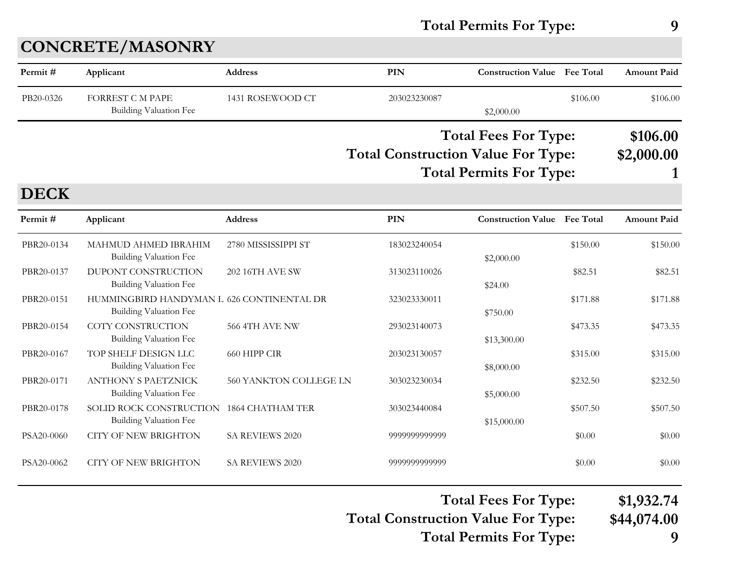### **Total Permits For Type: 9**

| Permit#     | Applicant                                                                  | <b>Address</b>          | PIN           | <b>Construction Value Fee Total</b>                                                                        |                  | <b>Amount Paid</b>     |
|-------------|----------------------------------------------------------------------------|-------------------------|---------------|------------------------------------------------------------------------------------------------------------|------------------|------------------------|
| PB20-0326   | <b>FORREST C M PAPE</b><br><b>Building Valuation Fee</b>                   | 1431 ROSEWOOD CT        | 203023230087  | \$2,000.00                                                                                                 | \$106.00         | \$106.00               |
|             |                                                                            |                         |               | <b>Total Fees For Type:</b><br><b>Total Construction Value For Type:</b><br><b>Total Permits For Type:</b> |                  | \$106.00<br>\$2,000.00 |
| <b>DECK</b> |                                                                            |                         |               |                                                                                                            |                  |                        |
| Permit#     | Applicant                                                                  | Address                 | PIN           | <b>Construction Value</b>                                                                                  | <b>Fee Total</b> | <b>Amount Paid</b>     |
| PBR20-0134  | MAHMUD AHMED IBRAHIM<br><b>Building Valuation Fee</b>                      | 2780 MISSISSIPPI ST     | 183023240054  | \$2,000.00                                                                                                 | \$150.00         | \$150.00               |
| PBR20-0137  | DUPONT CONSTRUCTION<br><b>Building Valuation Fee</b>                       | <b>202 16TH AVE SW</b>  | 313023110026  | \$24.00                                                                                                    | \$82.51          | \$82.51                |
| PBR20-0151  | HUMMINGBIRD HANDYMAN L 626 CONTINENTAL DR<br><b>Building Valuation Fee</b> |                         | 323023330011  | \$750.00                                                                                                   | \$171.88         | \$171.88               |
| PBR20-0154  | COTY CONSTRUCTION<br><b>Building Valuation Fee</b>                         | 566 4TH AVE NW          | 293023140073  | \$13,300.00                                                                                                | \$473.35         | \$473.35               |
| PBR20-0167  | TOP SHELF DESIGN LLC<br>Building Valuation Fee                             | 660 HIPP CIR            | 203023130057  | \$8,000.00                                                                                                 | \$315.00         | \$315.00               |
| PBR20-0171  | <b>ANTHONY S PAETZNICK</b><br><b>Building Valuation Fee</b>                | 560 YANKTON COLLEGE LN  | 303023230034  | \$5,000.00                                                                                                 | \$232.50         | \$232.50               |
| PBR20-0178  | SOLID ROCK CONSTRUCTION<br>Building Valuation Fee                          | <b>1864 CHATHAM TER</b> | 303023440084  | \$15,000.00                                                                                                | \$507.50         | \$507.50               |
| PSA20-0060  | <b>CITY OF NEW BRIGHTON</b>                                                | SA REVIEWS 2020         | 9999999999999 |                                                                                                            | \$0.00           | \$0.00                 |
| PSA20-0062  | <b>CITY OF NEW BRIGHTON</b>                                                | SA REVIEWS 2020         | 9999999999999 |                                                                                                            | \$0.00           | \$0.00                 |

**Total Fees For Type: \$1,932.74**

**Total Construction Value For Type: \$44,074.00**

**Total Permits For Type: 9**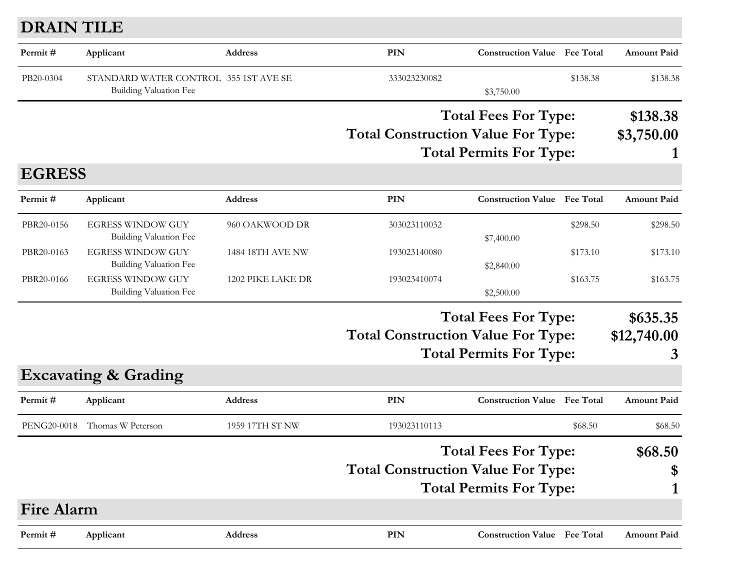## **DRAIN TILE**

| Applicant                       | Address                                                                        | PIN                                                        | <b>Construction Value</b> Fee Total |            | <b>Amount Paid</b>                                                                                                                                                                                                                                                                                                                                                                                                                                                      |
|---------------------------------|--------------------------------------------------------------------------------|------------------------------------------------------------|-------------------------------------|------------|-------------------------------------------------------------------------------------------------------------------------------------------------------------------------------------------------------------------------------------------------------------------------------------------------------------------------------------------------------------------------------------------------------------------------------------------------------------------------|
| Building Valuation Fee          |                                                                                | 333023230082                                               | \$3,750.00                          | \$138.38   | \$138.38                                                                                                                                                                                                                                                                                                                                                                                                                                                                |
|                                 |                                                                                |                                                            |                                     |            | \$138.38                                                                                                                                                                                                                                                                                                                                                                                                                                                                |
|                                 |                                                                                |                                                            |                                     |            | \$3,750.00                                                                                                                                                                                                                                                                                                                                                                                                                                                              |
|                                 |                                                                                |                                                            |                                     |            |                                                                                                                                                                                                                                                                                                                                                                                                                                                                         |
|                                 |                                                                                |                                                            |                                     |            |                                                                                                                                                                                                                                                                                                                                                                                                                                                                         |
| Applicant                       | <b>Address</b>                                                                 | <b>PIN</b>                                                 |                                     |            | <b>Amount Paid</b>                                                                                                                                                                                                                                                                                                                                                                                                                                                      |
| <b>EGRESS WINDOW GUY</b>        | 960 OAKWOOD DR                                                                 | 303023110032                                               |                                     | \$298.50   | \$298.50                                                                                                                                                                                                                                                                                                                                                                                                                                                                |
| <b>Building Valuation Fee</b>   |                                                                                |                                                            | \$7,400.00                          |            |                                                                                                                                                                                                                                                                                                                                                                                                                                                                         |
|                                 | 1484 18TH AVE NW                                                               | 193023140080                                               |                                     | \$173.10   | \$173.10                                                                                                                                                                                                                                                                                                                                                                                                                                                                |
|                                 |                                                                                |                                                            |                                     |            | \$163.75                                                                                                                                                                                                                                                                                                                                                                                                                                                                |
| Building Valuation Fee          |                                                                                |                                                            | \$2,500.00                          |            |                                                                                                                                                                                                                                                                                                                                                                                                                                                                         |
|                                 |                                                                                |                                                            |                                     |            | \$635.35                                                                                                                                                                                                                                                                                                                                                                                                                                                                |
|                                 |                                                                                |                                                            |                                     |            | \$12,740.00                                                                                                                                                                                                                                                                                                                                                                                                                                                             |
|                                 |                                                                                |                                                            |                                     |            | 3                                                                                                                                                                                                                                                                                                                                                                                                                                                                       |
| <b>Excavating &amp; Grading</b> |                                                                                |                                                            |                                     |            |                                                                                                                                                                                                                                                                                                                                                                                                                                                                         |
| Applicant                       | <b>Address</b>                                                                 | PIN                                                        |                                     |            | <b>Amount Paid</b>                                                                                                                                                                                                                                                                                                                                                                                                                                                      |
| Thomas W Peterson               | 1959 17TH ST NW                                                                | 193023110113                                               |                                     | \$68.50    | \$68.50                                                                                                                                                                                                                                                                                                                                                                                                                                                                 |
|                                 |                                                                                |                                                            |                                     |            | \$68.50                                                                                                                                                                                                                                                                                                                                                                                                                                                                 |
|                                 |                                                                                |                                                            |                                     |            | \$                                                                                                                                                                                                                                                                                                                                                                                                                                                                      |
|                                 |                                                                                |                                                            |                                     |            | 1                                                                                                                                                                                                                                                                                                                                                                                                                                                                       |
| <b>Fire Alarm</b>               |                                                                                |                                                            |                                     |            |                                                                                                                                                                                                                                                                                                                                                                                                                                                                         |
| Applicant                       | Address                                                                        | PIN                                                        |                                     |            | <b>Amount Paid</b>                                                                                                                                                                                                                                                                                                                                                                                                                                                      |
|                                 | <b>EGRESS WINDOW GUY</b><br>Building Valuation Fee<br><b>EGRESS WINDOW GUY</b> | STANDARD WATER CONTROL 355 1ST AVE SE<br>1202 PIKE LAKE DR | 193023410074                        | \$2,840.00 | <b>Total Fees For Type:</b><br><b>Total Construction Value For Type:</b><br><b>Total Permits For Type:</b><br><b>Construction Value Fee Total</b><br>\$163.75<br><b>Total Fees For Type:</b><br><b>Total Construction Value For Type:</b><br><b>Total Permits For Type:</b><br><b>Construction Value</b> Fee Total<br><b>Total Fees For Type:</b><br><b>Total Construction Value For Type:</b><br><b>Total Permits For Type:</b><br><b>Construction Value</b> Fee Total |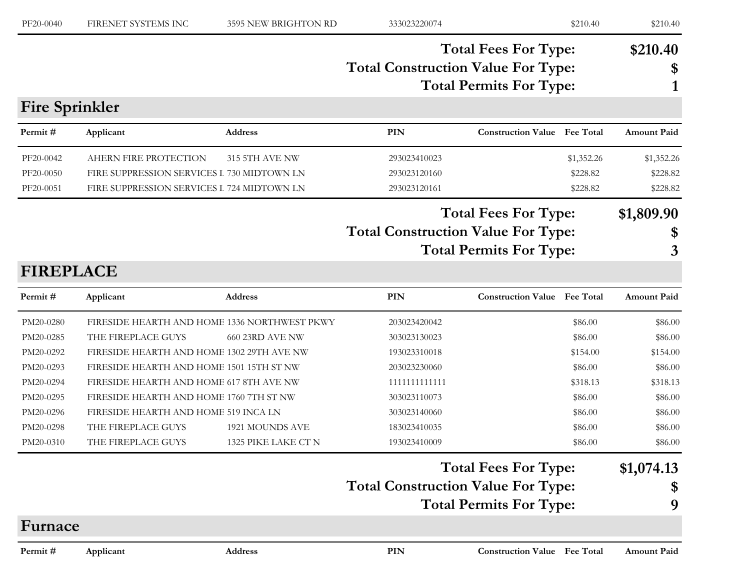| PF20-0040             | FIRENET SYSTEMS INC                        | 3595 NEW BRIGHTON RD  | 333023220074 | \$210.40                                                                                                   | \$210.40           |
|-----------------------|--------------------------------------------|-----------------------|--------------|------------------------------------------------------------------------------------------------------------|--------------------|
|                       |                                            |                       |              | <b>Total Fees For Type:</b><br><b>Total Construction Value For Type:</b><br><b>Total Permits For Type:</b> | \$210.40<br>S      |
| <b>Fire Sprinkler</b> |                                            |                       |              |                                                                                                            |                    |
| Permit#               | Applicant                                  | <b>Address</b>        | <b>PIN</b>   | <b>Construction Value</b> Fee Total                                                                        | <b>Amount Paid</b> |
| PF20-0042             | AHERN FIRE PROTECTION                      | <b>315 5TH AVE NW</b> | 293023410023 | \$1,352.26                                                                                                 | \$1,352.26         |
| PF20-0050             | FIRE SUPPRESSION SERVICES I 730 MIDTOWN LN |                       | 293023120160 | \$228.82                                                                                                   | \$228.82           |

PF20-0051 FIRE SUPPRESSION SERVICES I 724 MIDTOWN LN 293023120161 \$228.82 \$228.82 \$228.82

## **Total Fees For Type: \$1,809.90**

# **Total Construction Value For Type: \$**

**Total Permits For Type: 3**

## **FIREPLACE**

| Permit #  | Applicant                                    | <b>Address</b>         | <b>PIN</b>    | <b>Construction Value</b> Fee Total |          | <b>Amount Paid</b> |
|-----------|----------------------------------------------|------------------------|---------------|-------------------------------------|----------|--------------------|
| PM20-0280 | FIRESIDE HEARTH AND HOME 1336 NORTHWEST PKWY |                        | 203023420042  |                                     | \$86.00  | \$86.00            |
| PM20-0285 | THE FIREPLACE GUYS                           | 660 23RD AVE NW        | 303023130023  |                                     | \$86.00  | \$86.00            |
| PM20-0292 | FIRESIDE HEARTH AND HOME 1302 29TH AVE NW    |                        | 193023310018  |                                     | \$154.00 | \$154.00           |
| PM20-0293 | FIRESIDE HEARTH AND HOME 1501 15TH ST NW     |                        | 203023230060  |                                     | \$86.00  | \$86.00            |
| PM20-0294 | FIRESIDE HEARTH AND HOME 617 8TH AVE NW      |                        | 1111111111111 |                                     | \$318.13 | \$318.13           |
| PM20-0295 | FIRESIDE HEARTH AND HOME 1760 7TH ST NW      |                        | 303023110073  |                                     | \$86.00  | \$86.00            |
| PM20-0296 | FIRESIDE HEARTH AND HOME 519 INCA LN         |                        | 303023140060  |                                     | \$86.00  | \$86.00            |
| PM20-0298 | THE FIREPLACE GUYS                           | <b>1921 MOUNDS AVE</b> | 183023410035  |                                     | \$86.00  | \$86.00            |
| PM20-0310 | THE FIREPLACE GUYS                           | 1325 PIKE LAKE CT N    | 193023410009  |                                     | \$86.00  | \$86.00            |

#### **Total Fees For Type: \$1,074.13**

## **Total Construction Value For Type: \$**

**Total Permits For Type: 9**

#### **Furnace**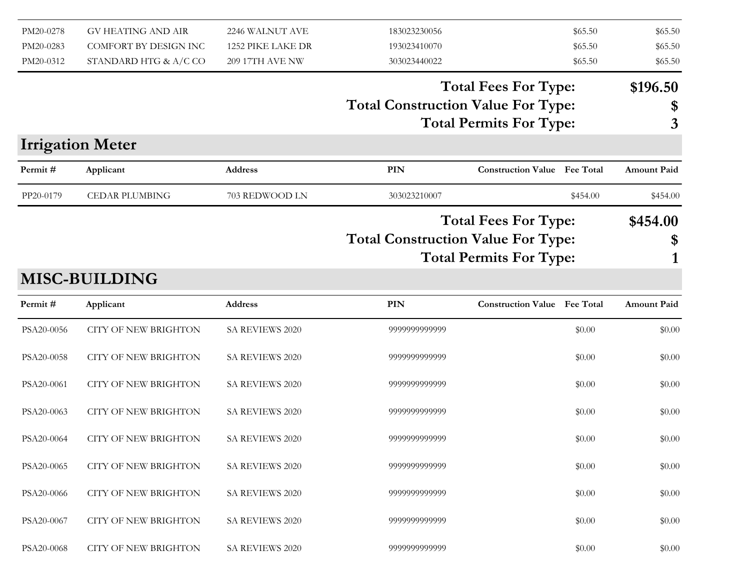| PM20-0278<br>PM20-0283 | <b>GV HEATING AND AIR</b><br>COMFORT BY DESIGN INC | 2246 WALNUT AVE<br>1252 PIKE LAKE DR | 183023230056<br>193023410070              | \$65.50<br>\$65.50                  | \$65.50<br>\$65.50 |
|------------------------|----------------------------------------------------|--------------------------------------|-------------------------------------------|-------------------------------------|--------------------|
| PM20-0312              | STANDARD HTG & A/C CO                              | <b>209 17TH AVE NW</b>               | 303023440022                              | \$65.50                             | \$65.50            |
|                        |                                                    |                                      |                                           | <b>Total Fees For Type:</b>         | \$196.50           |
|                        |                                                    |                                      | <b>Total Construction Value For Type:</b> | <b>Total Permits For Type:</b>      | \$<br>3            |
|                        | <b>Irrigation Meter</b>                            |                                      |                                           |                                     |                    |
| Permit#                | Applicant                                          | <b>Address</b>                       | <b>PIN</b>                                | <b>Construction Value</b> Fee Total | <b>Amount Paid</b> |
| PP20-0179              | <b>CEDAR PLUMBING</b>                              | 703 REDWOOD LN                       | 303023210007                              | \$454.00                            | \$454.00           |
|                        |                                                    |                                      |                                           | <b>Total Fees For Type:</b>         | \$454.00           |
|                        |                                                    |                                      | <b>Total Construction Value For Type:</b> |                                     | \$                 |
|                        |                                                    |                                      |                                           | <b>Total Permits For Type:</b>      |                    |
|                        | <b>MISC-BUILDING</b>                               |                                      |                                           |                                     |                    |
| Permit#                | Applicant                                          | <b>Address</b>                       | PIN                                       | <b>Construction Value Fee Total</b> | <b>Amount Paid</b> |
| PSA20-0056             | <b>CITY OF NEW BRIGHTON</b>                        | SA REVIEWS 2020                      | 9999999999999                             | \$0.00                              | \$0.00             |
| PSA20-0058             | <b>CITY OF NEW BRIGHTON</b>                        | SA REVIEWS 2020                      | 9999999999999                             | \$0.00                              | \$0.00             |
| PSA20-0061             | <b>CITY OF NEW BRIGHTON</b>                        | SA REVIEWS 2020                      | 9999999999999                             | \$0.00                              | \$0.00             |
| PSA20-0063             | <b>CITY OF NEW BRIGHTON</b>                        | SA REVIEWS 2020                      | 9999999999999                             | \$0.00                              | \$0.00             |
| PSA20-0064             | <b>CITY OF NEW BRIGHTON</b>                        | SA REVIEWS 2020                      | 9999999999999                             | \$0.00                              | \$0.00             |
| PSA20-0065             | <b>CITY OF NEW BRIGHTON</b>                        | SA REVIEWS 2020                      | 9999999999999                             | \$0.00                              | \$0.00             |
| PSA20-0066             | <b>CITY OF NEW BRIGHTON</b>                        | SA REVIEWS 2020                      | 9999999999999                             | \$0.00                              | \$0.00             |
| PSA20-0067             | <b>CITY OF NEW BRIGHTON</b>                        | SA REVIEWS 2020                      | 9999999999999                             | \$0.00                              | \$0.00             |
| PSA20-0068             | <b>CITY OF NEW BRIGHTON</b>                        | SA REVIEWS 2020                      | 9999999999999                             | \$0.00                              | \$0.00             |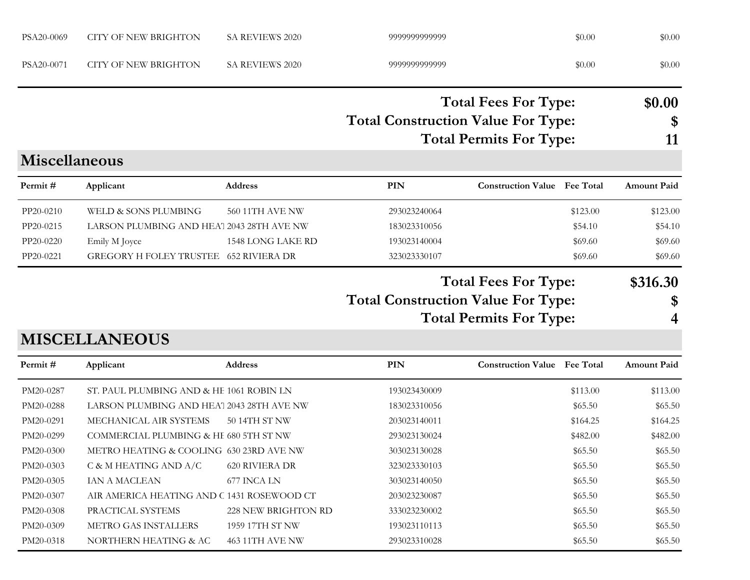| PSA20-0069                                                                              | <b>CITY OF NEW BRIGHTON</b>                                                                                                                                                                                                   | SA REVIEWS 2020                                | 9999999999999                                                                                                |                                                               | \$0.00                                                                       | \$0.00                                                                       |
|-----------------------------------------------------------------------------------------|-------------------------------------------------------------------------------------------------------------------------------------------------------------------------------------------------------------------------------|------------------------------------------------|--------------------------------------------------------------------------------------------------------------|---------------------------------------------------------------|------------------------------------------------------------------------------|------------------------------------------------------------------------------|
| PSA20-0071                                                                              | <b>CITY OF NEW BRIGHTON</b>                                                                                                                                                                                                   | SA REVIEWS 2020                                | 9999999999999                                                                                                |                                                               | \$0.00                                                                       | \$0.00                                                                       |
|                                                                                         |                                                                                                                                                                                                                               |                                                | <b>Total Construction Value For Type:</b>                                                                    | <b>Total Fees For Type:</b><br><b>Total Permits For Type:</b> |                                                                              | \$0.00<br>\$<br>11                                                           |
| <b>Miscellaneous</b>                                                                    |                                                                                                                                                                                                                               |                                                |                                                                                                              |                                                               |                                                                              |                                                                              |
| Permit#                                                                                 | Applicant                                                                                                                                                                                                                     | <b>Address</b>                                 | <b>PIN</b>                                                                                                   | <b>Construction Value</b> Fee Total                           |                                                                              | <b>Amount Paid</b>                                                           |
| PP20-0210<br>PP20-0215<br>PP20-0220<br>PP20-0221                                        | WELD & SONS PLUMBING<br>LARSON PLUMBING AND HEA' 2043 28TH AVE NW<br>Emily M Joyce<br>GREGORY H FOLEY TRUSTEE 652 RIVIERA DR                                                                                                  | <b>560 11TH AVE NW</b><br>1548 LONG LAKE RD    | 293023240064<br>183023310056<br>193023140004<br>323023330107                                                 |                                                               | \$123.00<br>\$54.10<br>\$69.60<br>\$69.60                                    | \$123.00<br>\$54.10<br>\$69.60<br>\$69.60                                    |
|                                                                                         | <b>MISCELLANEOUS</b>                                                                                                                                                                                                          |                                                | <b>Total Construction Value For Type:</b>                                                                    | <b>Total Fees For Type:</b><br><b>Total Permits For Type:</b> |                                                                              | \$316.30<br>\$<br>4                                                          |
| Permit#                                                                                 | Applicant                                                                                                                                                                                                                     | <b>Address</b>                                 | PIN                                                                                                          | <b>Construction Value</b> Fee Total                           |                                                                              | Amount Paid                                                                  |
| PM20-0287<br>PM20-0288<br>PM20-0291<br>PM20-0299<br>PM20-0300<br>PM20-0303<br>PM20-0305 | ST. PAUL PLUMBING AND & HE 1061 ROBIN LN<br>LARSON PLUMBING AND HEA' 2043 28TH AVE NW<br>MECHANICAL AIR SYSTEMS<br>COMMERCIAL PLUMBING & HE 680 5TH ST NW<br>METRO HEATING & COOLING 630 23RD AVE NW<br>C & M HEATING AND A/C | 50 14TH ST NW<br>620 RIVIERA DR<br>677 INCA LN | 193023430009<br>183023310056<br>203023140011<br>293023130024<br>303023130028<br>323023330103<br>303023140050 |                                                               | \$113.00<br>\$65.50<br>\$164.25<br>\$482.00<br>\$65.50<br>\$65.50<br>\$65.50 | \$113.00<br>\$65.50<br>\$164.25<br>\$482.00<br>\$65.50<br>\$65.50<br>\$65.50 |
| PM20-0307                                                                               | IAN A MACLEAN<br>AIR AMERICA HEATING AND C 1431 ROSEWOOD CT                                                                                                                                                                   |                                                | 203023230087                                                                                                 |                                                               | \$65.50                                                                      | \$65.50                                                                      |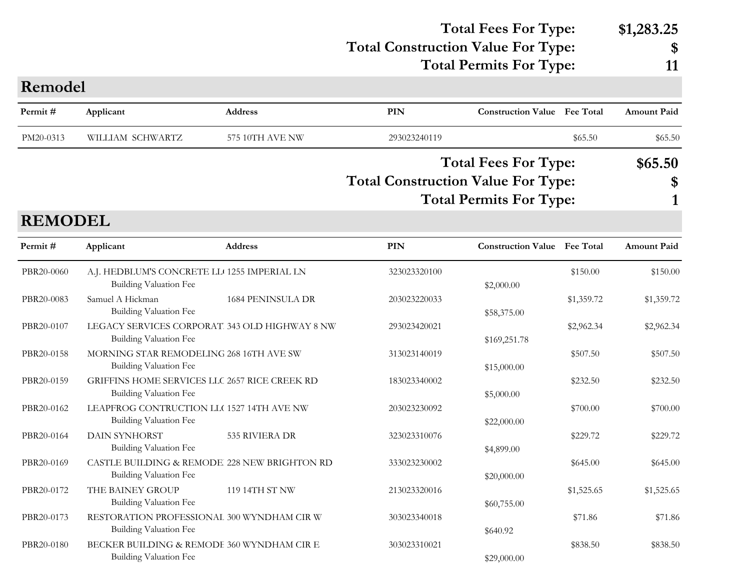## **Total Construction Value For Type: \$ Total Fees For Type: \$1,283.25**

**Total Permits For Type: 11**

| Remodel        |                                                                       |                          |                                           |                                                               |            |                    |
|----------------|-----------------------------------------------------------------------|--------------------------|-------------------------------------------|---------------------------------------------------------------|------------|--------------------|
| Permit#        | Applicant                                                             | <b>Address</b>           | PIN                                       | <b>Construction Value</b> Fee Total                           |            | <b>Amount Paid</b> |
| PM20-0313      | WILLIAM SCHWARTZ                                                      | 575 10TH AVE NW          | 293023240119                              |                                                               | \$65.50    | \$65.50            |
| <b>REMODEL</b> |                                                                       |                          | <b>Total Construction Value For Type:</b> | <b>Total Fees For Type:</b><br><b>Total Permits For Type:</b> |            | \$65.50<br>\$      |
| Permit#        | Applicant                                                             | <b>Address</b>           | PIN                                       | <b>Construction Value</b> Fee Total                           |            | <b>Amount Paid</b> |
| PBR20-0060     | A.J. HEDBLUM'S CONCRETE LL 1255 IMPERIAL LN<br>Building Valuation Fee |                          | 323023320100                              | \$2,000.00                                                    | \$150.00   | \$150.00           |
| PBR20-0083     | Samuel A Hickman<br>Building Valuation Fee                            | <b>1684 PENINSULA DR</b> | 203023220033                              | \$58,375.00                                                   | \$1,359.72 | \$1,359.72         |
|                |                                                                       |                          |                                           |                                                               |            |                    |

|            | Building Valuation Fee                         |              | \$58,375.00  |            |            |
|------------|------------------------------------------------|--------------|--------------|------------|------------|
| PBR20-0107 | LEGACY SERVICES CORPORAT. 343 OLD HIGHWAY 8 NW | 293023420021 |              | \$2,962.34 | \$2,962.34 |
|            | Building Valuation Fee                         |              | \$169,251.78 |            |            |
| PBR20-0158 | MORNING STAR REMODELING 268 16TH AVE SW        | 313023140019 |              | \$507.50   | \$507.50   |
|            | Building Valuation Fee                         |              | \$15,000.00  |            |            |
| PBR20-0159 | GRIFFINS HOME SERVICES LLC 2657 RICE CREEK RD  | 183023340002 |              | \$232.50   | \$232.50   |
|            | Building Valuation Fee                         |              | \$5,000.00   |            |            |
| PBR20-0162 | LEAPFROG CONTRUCTION LL(1527 14TH AVE NW       | 203023230092 |              | \$700.00   | \$700.00   |
|            | Building Valuation Fee                         |              | \$22,000.00  |            |            |
| PBR20-0164 | 535 RIVIERA DR<br>DAIN SYNHORST                | 323023310076 |              | \$229.72   | \$229.72   |
|            | <b>Building Valuation Fee</b>                  |              | \$4,899.00   |            |            |
| PBR20-0169 | CASTLE BUILDING & REMODE 228 NEW BRIGHTON RD   | 333023230002 |              | \$645.00   | \$645.00   |
|            | Building Valuation Fee                         |              | \$20,000.00  |            |            |
| PBR20-0172 | THE BAINEY GROUP<br>119 14TH ST NW             | 213023320016 |              | \$1,525.65 | \$1,525.65 |
|            | Building Valuation Fee                         |              | \$60,755.00  |            |            |
| PBR20-0173 | RESTORATION PROFESSIONAL 300 WYNDHAM CIR W     | 303023340018 |              | \$71.86    | \$71.86    |
|            | Building Valuation Fee                         |              | \$640.92     |            |            |
| PBR20-0180 | BECKER BUILDING & REMODE 360 WYNDHAM CIR E     | 303023310021 |              | \$838.50   | \$838.50   |
|            | Building Valuation Fee                         |              | \$29,000.00  |            |            |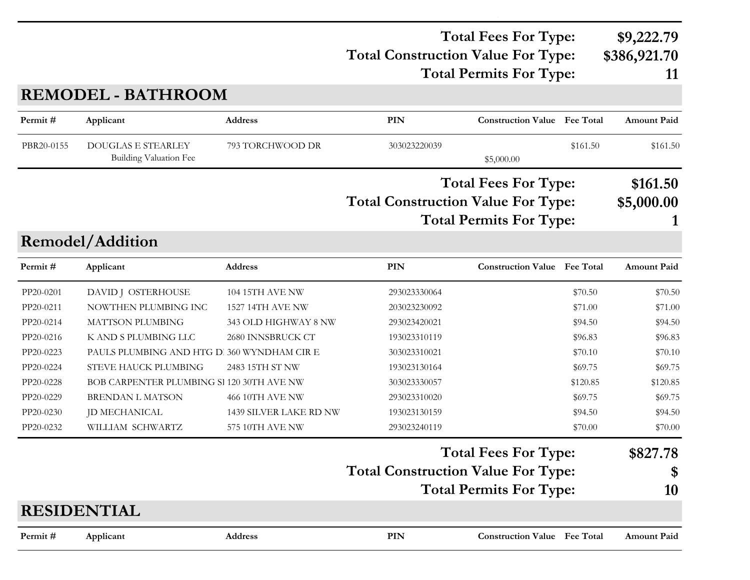### **Total Construction Value For Type: \$386,921.70 Total Fees For Type: \$9,222.79 Total Permits For Type: 11**

**REMODEL - BATHROOM**

| Permit#    | Applicant                                                  | Address                 | <b>PIN</b>                                | <b>Construction Value</b> Fee Total |          | <b>Amount Paid</b> |
|------------|------------------------------------------------------------|-------------------------|-------------------------------------------|-------------------------------------|----------|--------------------|
| PBR20-0155 | <b>DOUGLAS E STEARLEY</b><br><b>Building Valuation Fee</b> | 793 TORCHWOOD DR        | 303023220039                              | \$5,000.00                          | \$161.50 | \$161.50           |
|            |                                                            |                         |                                           |                                     |          |                    |
|            |                                                            |                         |                                           | <b>Total Fees For Type:</b>         |          | \$161.50           |
|            |                                                            |                         | <b>Total Construction Value For Type:</b> |                                     |          | \$5,000.00         |
|            |                                                            |                         |                                           | <b>Total Permits For Type:</b>      |          |                    |
|            | Remodel/Addition                                           |                         |                                           |                                     |          |                    |
| Permit#    | Applicant                                                  | <b>Address</b>          | <b>PIN</b>                                | <b>Construction Value Fee Total</b> |          | <b>Amount Paid</b> |
| PP20-0201  | DAVID J OSTERHOUSE                                         | 104 15TH AVE NW         | 293023330064                              |                                     | \$70.50  | \$70.50            |
| PP20-0211  | NOWTHEN PLUMBING INC                                       | <b>1527 14TH AVE NW</b> | 203023230092                              |                                     | \$71.00  | \$71.00            |
| PP20-0214  | MATTSON PLUMBING                                           | 343 OLD HIGHWAY 8 NW    | 293023420021                              |                                     | \$94.50  | \$94.50            |
| PP20-0216  | K AND S PLUMBING LLC                                       | 2680 INNSBRUCK CT       | 193023310119                              |                                     | \$96.83  | \$96.83            |
| PP20-0223  | PAULS PLUMBING AND HTG D. 360 WYNDHAM CIR E                |                         | 303023310021                              |                                     | \$70.10  | \$70.10            |
| PP20-0224  | STEVE HAUCK PLUMBING                                       | 2483 15TH ST NW         | 193023130164                              |                                     | \$69.75  | \$69.75            |
| PP20-0228  | BOB CARPENTER PLUMBING SI 120 30TH AVE NW                  |                         | 303023330057                              |                                     | \$120.85 | \$120.85           |
| PP20-0229  | <b>BRENDAN L MATSON</b>                                    | 466 10TH AVE NW         | 293023310020                              |                                     | \$69.75  | \$69.75            |
| PP20-0230  | JD MECHANICAL                                              | 1439 SILVER LAKE RD NW  | 193023130159                              |                                     | \$94.50  | \$94.50            |
| PP20-0232  | WILLIAM SCHWARTZ                                           | 575 10TH AVE NW         | 293023240119                              |                                     | \$70.00  | \$70.00            |
|            |                                                            |                         |                                           | <b>Total Fees For Type:</b>         |          | \$827.78           |
|            |                                                            |                         | <b>Total Construction Value For Type:</b> |                                     |          | \$                 |
|            |                                                            |                         |                                           | <b>Total Permits For Type:</b>      |          | 10                 |
|            | <b>RESIDENTIAL</b>                                         |                         |                                           |                                     |          |                    |
|            |                                                            |                         |                                           |                                     |          |                    |
| Permit#    | Applicant                                                  | <b>Address</b>          | PIN                                       | <b>Construction Value</b> Fee Total |          | <b>Amount Paid</b> |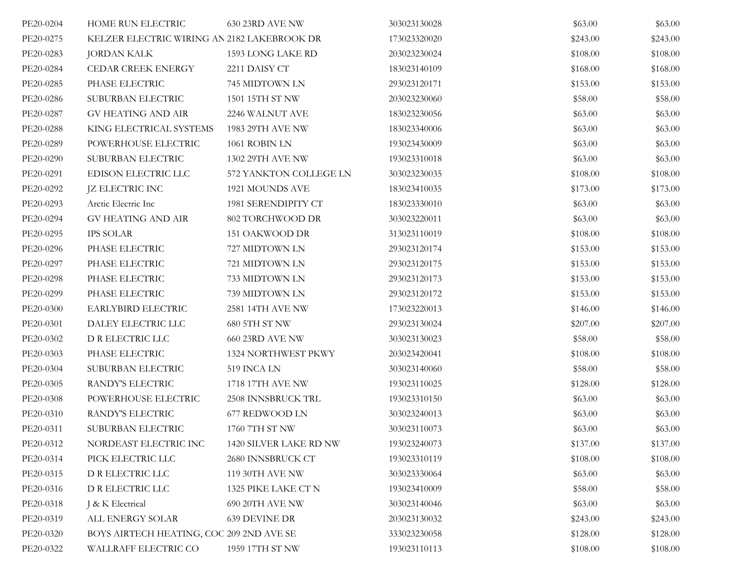| PE20-0204 | HOME RUN ELECTRIC                           | 630 23RD AVE NW            | 303023130028 | \$63.00  | \$63.00  |
|-----------|---------------------------------------------|----------------------------|--------------|----------|----------|
| PE20-0275 | KELZER ELECTRIC WIRING AN 2182 LAKEBROOK DR |                            | 173023320020 | \$243.00 | \$243.00 |
| PE20-0283 | <b>JORDAN KALK</b>                          | 1593 LONG LAKE RD          | 203023230024 | \$108.00 | \$108.00 |
| PE20-0284 | <b>CEDAR CREEK ENERGY</b>                   | 2211 DAISY CT              | 183023140109 | \$168.00 | \$168.00 |
| PE20-0285 | PHASE ELECTRIC                              | 745 MIDTOWN LN             | 293023120171 | \$153.00 | \$153.00 |
| PE20-0286 | SUBURBAN ELECTRIC                           | 1501 15TH ST NW            | 203023230060 | \$58.00  | \$58.00  |
| PE20-0287 | <b>GV HEATING AND AIR</b>                   | 2246 WALNUT AVE            | 183023230056 | \$63.00  | \$63.00  |
| PE20-0288 | KING ELECTRICAL SYSTEMS                     | 1983 29TH AVE NW           | 183023340006 | \$63.00  | \$63.00  |
| PE20-0289 | POWERHOUSE ELECTRIC                         | 1061 ROBIN LN              | 193023430009 | \$63.00  | \$63.00  |
| PE20-0290 | SUBURBAN ELECTRIC                           | 1302 29TH AVE NW           | 193023310018 | \$63.00  | \$63.00  |
| PE20-0291 | EDISON ELECTRIC LLC                         | 572 YANKTON COLLEGE LN     | 303023230035 | \$108.00 | \$108.00 |
| PE20-0292 | <b>JZ ELECTRIC INC</b>                      | 1921 MOUNDS AVE            | 183023410035 | \$173.00 | \$173.00 |
| PE20-0293 | Arctic Electric Inc                         | 1981 SERENDIPITY CT        | 183023330010 | \$63.00  | \$63.00  |
| PE20-0294 | <b>GV HEATING AND AIR</b>                   | 802 TORCHWOOD DR           | 303023220011 | \$63.00  | \$63.00  |
| PE20-0295 | <b>IPS SOLAR</b>                            | 151 OAKWOOD DR             | 313023110019 | \$108.00 | \$108.00 |
| PE20-0296 | PHASE ELECTRIC                              | 727 MIDTOWN LN             | 293023120174 | \$153.00 | \$153.00 |
| PE20-0297 | PHASE ELECTRIC                              | 721 MIDTOWN LN             | 293023120175 | \$153.00 | \$153.00 |
| PE20-0298 | PHASE ELECTRIC                              | 733 MIDTOWN LN             | 293023120173 | \$153.00 | \$153.00 |
| PE20-0299 | PHASE ELECTRIC                              | 739 MIDTOWN LN             | 293023120172 | \$153.00 | \$153.00 |
| PE20-0300 | EARLYBIRD ELECTRIC                          | 2581 14TH AVE NW           | 173023220013 | \$146.00 | \$146.00 |
| PE20-0301 | DALEY ELECTRIC LLC                          | 680 5TH ST NW              | 293023130024 | \$207.00 | \$207.00 |
| PE20-0302 | D R ELECTRIC LLC                            | 660 23RD AVE NW            | 303023130023 | \$58.00  | \$58.00  |
| PE20-0303 | PHASE ELECTRIC                              | <b>1324 NORTHWEST PKWY</b> | 203023420041 | \$108.00 | \$108.00 |
| PE20-0304 | SUBURBAN ELECTRIC                           | 519 INCA LN                | 303023140060 | \$58.00  | \$58.00  |
| PE20-0305 | RANDY'S ELECTRIC                            | 1718 17TH AVE NW           | 193023110025 | \$128.00 | \$128.00 |
| PE20-0308 | POWERHOUSE ELECTRIC                         | 2508 INNSBRUCK TRL         | 193023310150 | \$63.00  | \$63.00  |
| PE20-0310 | RANDY'S ELECTRIC                            | 677 REDWOOD LN             | 303023240013 | \$63.00  | \$63.00  |
| PE20-0311 | SUBURBAN ELECTRIC                           | 1760 7TH ST NW             | 303023110073 | \$63.00  | \$63.00  |
| PE20-0312 | NORDEAST ELECTRIC INC                       | 1420 SILVER LAKE RD NW     | 193023240073 | \$137.00 | \$137.00 |
| PE20-0314 | PICK ELECTRIC LLC                           | 2680 INNSBRUCK CT          | 193023310119 | \$108.00 | \$108.00 |
| PE20-0315 | D R ELECTRIC LLC                            | 119 30TH AVE NW            | 303023330064 | \$63.00  | \$63.00  |
| PE20-0316 | D R ELECTRIC LLC                            | 1325 PIKE LAKE CT N        | 193023410009 | \$58.00  | \$58.00  |
| PE20-0318 | J & K Electrical                            | 690 20TH AVE NW            | 303023140046 | \$63.00  | \$63.00  |
| PE20-0319 | ALL ENERGY SOLAR                            | <b>639 DEVINE DR</b>       | 203023130032 | \$243.00 | \$243.00 |
| PE20-0320 | BOYS AIRTECH HEATING, COC 209 2ND AVE SE    |                            | 333023230058 | \$128.00 | \$128.00 |
| PE20-0322 | WALLRAFF ELECTRIC CO                        | 1959 17TH ST NW            | 193023110113 | \$108.00 | \$108.00 |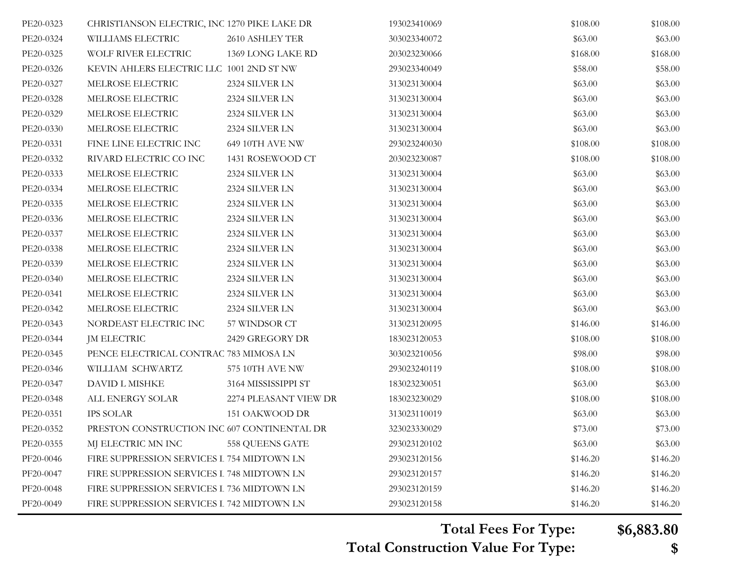| PE20-0323 | CHRISTIANSON ELECTRIC, INC 1270 PIKE LAKE DR |                       | 193023410069 | \$108.00 | \$108.00 |
|-----------|----------------------------------------------|-----------------------|--------------|----------|----------|
| PE20-0324 | WILLIAMS ELECTRIC                            | 2610 ASHLEY TER       | 303023340072 | \$63.00  | \$63.00  |
| PE20-0325 | WOLF RIVER ELECTRIC                          | 1369 LONG LAKE RD     | 203023230066 | \$168.00 | \$168.00 |
| PE20-0326 | KEVIN AHLERS ELECTRIC LLC 1001 2ND ST NW     |                       | 293023340049 | \$58.00  | \$58.00  |
| PE20-0327 | MELROSE ELECTRIC                             | 2324 SILVER LN        | 313023130004 | \$63.00  | \$63.00  |
| PE20-0328 | MELROSE ELECTRIC                             | 2324 SILVER LN        | 313023130004 | \$63.00  | \$63.00  |
| PE20-0329 | MELROSE ELECTRIC                             | 2324 SILVER LN        | 313023130004 | \$63.00  | \$63.00  |
| PE20-0330 | MELROSE ELECTRIC                             | 2324 SILVER LN        | 313023130004 | \$63.00  | \$63.00  |
| PE20-0331 | FINE LINE ELECTRIC INC                       | 649 10TH AVE NW       | 293023240030 | \$108.00 | \$108.00 |
| PE20-0332 | RIVARD ELECTRIC CO INC                       | 1431 ROSEWOOD CT      | 203023230087 | \$108.00 | \$108.00 |
| PE20-0333 | MELROSE ELECTRIC                             | 2324 SILVER LN        | 313023130004 | \$63.00  | \$63.00  |
| PE20-0334 | MELROSE ELECTRIC                             | 2324 SILVER LN        | 313023130004 | \$63.00  | \$63.00  |
| PE20-0335 | MELROSE ELECTRIC                             | 2324 SILVER LN        | 313023130004 | \$63.00  | \$63.00  |
| PE20-0336 | MELROSE ELECTRIC                             | 2324 SILVER LN        | 313023130004 | \$63.00  | \$63.00  |
| PE20-0337 | MELROSE ELECTRIC                             | 2324 SILVER LN        | 313023130004 | \$63.00  | \$63.00  |
| PE20-0338 | MELROSE ELECTRIC                             | 2324 SILVER LN        | 313023130004 | \$63.00  | \$63.00  |
| PE20-0339 | MELROSE ELECTRIC                             | 2324 SILVER LN        | 313023130004 | \$63.00  | \$63.00  |
| PE20-0340 | MELROSE ELECTRIC                             | 2324 SILVER LN        | 313023130004 | \$63.00  | \$63.00  |
| PE20-0341 | MELROSE ELECTRIC                             | 2324 SILVER LN        | 313023130004 | \$63.00  | \$63.00  |
| PE20-0342 | MELROSE ELECTRIC                             | 2324 SILVER LN        | 313023130004 | \$63.00  | \$63.00  |
| PE20-0343 | NORDEAST ELECTRIC INC                        | 57 WINDSOR CT         | 313023120095 | \$146.00 | \$146.00 |
| PE20-0344 | <b>JM ELECTRIC</b>                           | 2429 GREGORY DR       | 183023120053 | \$108.00 | \$108.00 |
| PE20-0345 | PENCE ELECTRICAL CONTRAC 783 MIMOSA LN       |                       | 303023210056 | \$98.00  | \$98.00  |
| PE20-0346 | WILLIAM SCHWARTZ                             | 575 10TH AVE NW       | 293023240119 | \$108.00 | \$108.00 |
| PE20-0347 | DAVID L MISHKE                               | 3164 MISSISSIPPI ST   | 183023230051 | \$63.00  | \$63.00  |
| PE20-0348 | ALL ENERGY SOLAR                             | 2274 PLEASANT VIEW DR | 183023230029 | \$108.00 | \$108.00 |
| PE20-0351 | <b>IPS SOLAR</b>                             | 151 OAKWOOD DR        | 313023110019 | \$63.00  | \$63.00  |
| PE20-0352 | PRESTON CONSTRUCTION INC 607 CONTINENTAL DR  |                       | 323023330029 | \$73.00  | \$73.00  |
| PE20-0355 | MJ ELECTRIC MN INC                           | 558 QUEENS GATE       | 293023120102 | \$63.00  | \$63.00  |
| PF20-0046 | FIRE SUPPRESSION SERVICES L 754 MIDTOWN LN   |                       | 293023120156 | \$146.20 | \$146.20 |
| PF20-0047 | FIRE SUPPRESSION SERVICES L 748 MIDTOWN LN   |                       | 293023120157 | \$146.20 | \$146.20 |
| PF20-0048 | FIRE SUPPRESSION SERVICES L 736 MIDTOWN LN   |                       | 293023120159 | \$146.20 | \$146.20 |
| PF20-0049 | FIRE SUPPRESSION SERVICES I 742 MIDTOWN LN   |                       | 293023120158 | \$146.20 | \$146.20 |

**Total Construction Value For Type: \$ Total Fees For Type: \$6,883.80**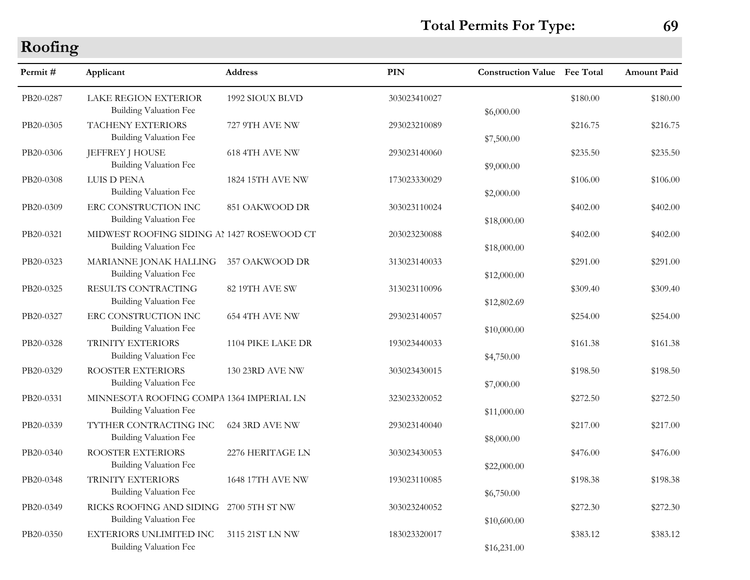**Total Permits For Type: 69**

| rooming   |                                                                      |                        |              |                                     |          |             |
|-----------|----------------------------------------------------------------------|------------------------|--------------|-------------------------------------|----------|-------------|
| Permit#   | Applicant                                                            | <b>Address</b>         | <b>PIN</b>   | <b>Construction Value Fee Total</b> |          | Amount Paid |
| PB20-0287 | <b>LAKE REGION EXTERIOR</b><br><b>Building Valuation Fee</b>         | 1992 SIOUX BLVD        | 303023410027 | \$6,000.00                          | \$180.00 | \$180.00    |
| PB20-0305 | TACHENY EXTERIORS<br>Building Valuation Fee                          | 727 9TH AVE NW         | 293023210089 | \$7,500.00                          | \$216.75 | \$216.75    |
| PB20-0306 | <b>JEFFREY J HOUSE</b><br>Building Valuation Fee                     | 618 4TH AVE NW         | 293023140060 | \$9,000.00                          | \$235.50 | \$235.50    |
| PB20-0308 | LUIS D PENA<br>Building Valuation Fee                                | 1824 15TH AVE NW       | 173023330029 | \$2,000.00                          | \$106.00 | \$106.00    |
| PB20-0309 | ERC CONSTRUCTION INC<br>Building Valuation Fee                       | 851 OAKWOOD DR         | 303023110024 | \$18,000.00                         | \$402.00 | \$402.00    |
| PB20-0321 | MIDWEST ROOFING SIDING AI 1427 ROSEWOOD CT<br>Building Valuation Fee |                        | 203023230088 | \$18,000.00                         | \$402.00 | \$402.00    |
| PB20-0323 | MARIANNE JONAK HALLING<br>Building Valuation Fee                     | 357 OAKWOOD DR         | 313023140033 | \$12,000.00                         | \$291.00 | \$291.00    |
| PB20-0325 | RESULTS CONTRACTING<br>Building Valuation Fee                        | 82 19TH AVE SW         | 313023110096 | \$12,802.69                         | \$309.40 | \$309.40    |
| PB20-0327 | ERC CONSTRUCTION INC<br>Building Valuation Fee                       | 654 4TH AVE NW         | 293023140057 | \$10,000.00                         | \$254.00 | \$254.00    |
| PB20-0328 | TRINITY EXTERIORS<br>Building Valuation Fee                          | 1104 PIKE LAKE DR      | 193023440033 | \$4,750.00                          | \$161.38 | \$161.38    |
| PB20-0329 | ROOSTER EXTERIORS<br>Building Valuation Fee                          | <b>130 23RD AVE NW</b> | 303023430015 | \$7,000.00                          | \$198.50 | \$198.50    |
| PB20-0331 | MINNESOTA ROOFING COMPA 1364 IMPERIAL LN<br>Building Valuation Fee   |                        | 323023320052 | \$11,000.00                         | \$272.50 | \$272.50    |
| PB20-0339 | TYTHER CONTRACTING INC<br>Building Valuation Fee                     | 624 3RD AVE NW         | 293023140040 | \$8,000.00                          | \$217.00 | \$217.00    |
| PB20-0340 | ROOSTER EXTERIORS<br>Building Valuation Fee                          | 2276 HERITAGE LN       | 303023430053 | \$22,000.00                         | \$476.00 | \$476.00    |
| PB20-0348 | TRINITY EXTERIORS<br>Building Valuation Fee                          | 1648 17TH AVE NW       | 193023110085 | \$6,750.00                          | \$198.38 | \$198.38    |
| PB20-0349 | RICKS ROOFING AND SIDING<br>Building Valuation Fee                   | 2700 5TH ST NW         | 303023240052 | \$10,600.00                         | \$272.30 | \$272.30    |
| PB20-0350 | <b>EXTERIORS UNLIMITED INC</b><br>Building Valuation Fee             | 3115 21ST LN NW        | 183023320017 | \$16,231.00                         | \$383.12 | \$383.12    |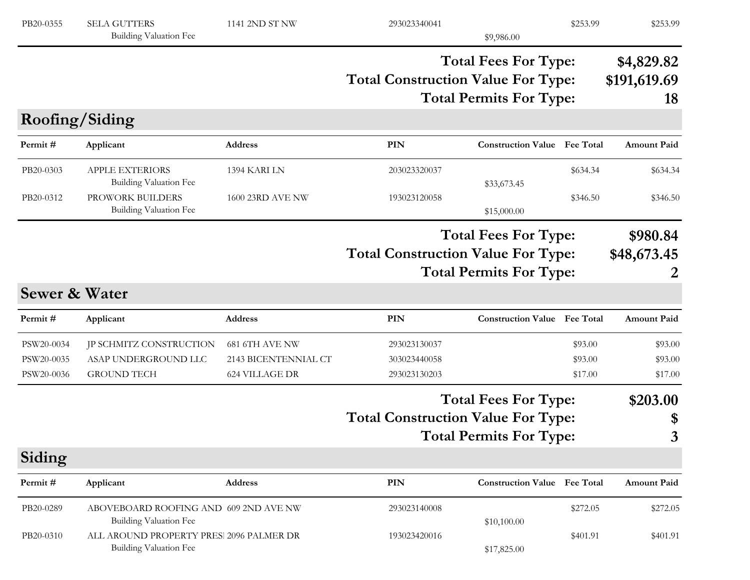| PB20-0355                              | <b>SELA GUTTERS</b><br>Building Valuation Fee                            | 1141 2ND ST NW                                           | 293023340041                                 | \$9,986.00                                                    | \$253.99                      | \$253.99                         |
|----------------------------------------|--------------------------------------------------------------------------|----------------------------------------------------------|----------------------------------------------|---------------------------------------------------------------|-------------------------------|----------------------------------|
|                                        |                                                                          |                                                          | <b>Total Construction Value For Type:</b>    | <b>Total Fees For Type:</b><br><b>Total Permits For Type:</b> |                               | \$4,829.82<br>\$191,619.69<br>18 |
| Roofing/Siding                         |                                                                          |                                                          |                                              |                                                               |                               |                                  |
| Permit#                                | Applicant                                                                | <b>Address</b>                                           | <b>PIN</b>                                   | <b>Construction Value</b> Fee Total                           |                               | <b>Amount Paid</b>               |
| PB20-0303                              | <b>APPLE EXTERIORS</b><br><b>Building Valuation Fee</b>                  | 1394 KARI LN                                             | 203023320037                                 | \$33,673.45                                                   | \$634.34                      | \$634.34                         |
| PB20-0312                              | PROWORK BUILDERS<br><b>Building Valuation Fee</b>                        | 1600 23RD AVE NW                                         | 193023120058                                 | \$15,000.00                                                   | \$346.50                      | \$346.50                         |
|                                        |                                                                          |                                                          |                                              | <b>Total Fees For Type:</b>                                   |                               | \$980.84                         |
|                                        |                                                                          |                                                          | <b>Total Construction Value For Type:</b>    | <b>Total Permits For Type:</b>                                |                               | \$48,673.45                      |
| <b>Sewer &amp; Water</b>               |                                                                          |                                                          |                                              |                                                               |                               |                                  |
| Permit#                                | Applicant                                                                | Address                                                  | PIN                                          | <b>Construction Value</b> Fee Total                           |                               | <b>Amount Paid</b>               |
| PSW20-0034<br>PSW20-0035<br>PSW20-0036 | JP SCHMITZ CONSTRUCTION<br>ASAP UNDERGROUND LLC<br><b>GROUND TECH</b>    | 681 6TH AVE NW<br>2143 BICENTENNIAL CT<br>624 VILLAGE DR | 293023130037<br>303023440058<br>293023130203 |                                                               | \$93.00<br>\$93.00<br>\$17.00 | \$93.00<br>\$93.00<br>\$17.00    |
|                                        |                                                                          |                                                          |                                              | <b>Total Fees For Type:</b>                                   |                               | \$203.00                         |
|                                        |                                                                          |                                                          | <b>Total Construction Value For Type:</b>    |                                                               |                               | \$                               |
|                                        |                                                                          |                                                          |                                              | <b>Total Permits For Type:</b>                                |                               | 3                                |
| Siding                                 |                                                                          |                                                          |                                              |                                                               |                               |                                  |
| Permit#                                | Applicant                                                                | Address                                                  | PIN                                          | <b>Construction Value Fee Total</b>                           |                               | <b>Amount Paid</b>               |
| PB20-0289                              | ABOVEBOARD ROOFING AND 609 2ND AVE NW<br>Building Valuation Fee          |                                                          | 293023140008                                 | \$10,100.00                                                   | \$272.05                      | \$272.05                         |
| PB20-0310                              | ALL AROUND PROPERTY PRES 2096 PALMER DR<br><b>Building Valuation Fee</b> |                                                          | 193023420016                                 | \$17,825.00                                                   | \$401.91                      | \$401.91                         |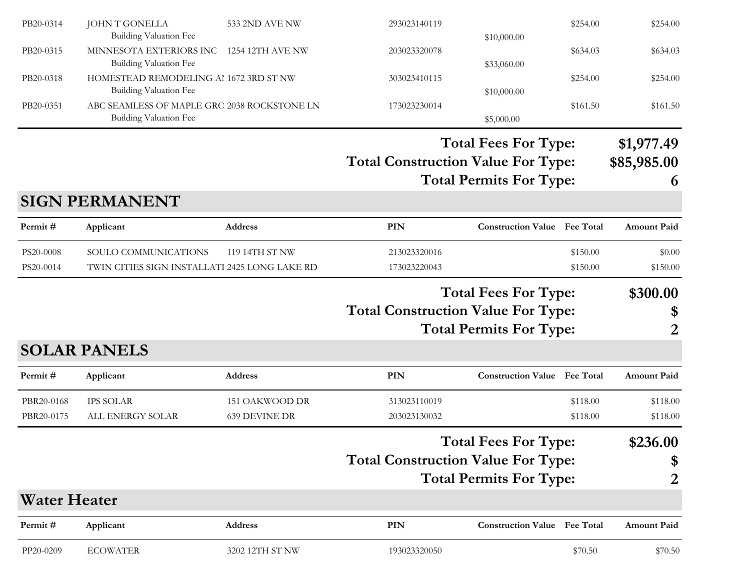| PB20-0314                | <b>JOHN T GONELLA</b><br><b>Building Valuation Fee</b>                  | 533 2ND AVE NW                         | 293023140119                              | \$10,000.00                         | \$254.00             | \$254.00             |
|--------------------------|-------------------------------------------------------------------------|----------------------------------------|-------------------------------------------|-------------------------------------|----------------------|----------------------|
| PB20-0315                | MINNESOTA EXTERIORS INC<br><b>Building Valuation Fee</b>                | 1254 12TH AVE NW                       | 203023320078                              | \$33,060.00                         | \$634.03             | \$634.03             |
| PB20-0318                | HOMESTEAD REMODELING AI 1672 3RD ST NW<br><b>Building Valuation Fee</b> |                                        | 303023410115                              | \$10,000.00                         | \$254.00             | \$254.00             |
| PB20-0351                | ABC SEAMLESS OF MAPLE GRC 2038 ROCKSTONE LN<br>Building Valuation Fee   |                                        | 173023230014                              | \$5,000.00                          | \$161.50             | \$161.50             |
|                          |                                                                         |                                        |                                           | <b>Total Fees For Type:</b>         |                      | \$1,977.49           |
|                          |                                                                         |                                        | <b>Total Construction Value For Type:</b> | <b>Total Permits For Type:</b>      |                      | \$85,985.00<br>6     |
|                          | <b>SIGN PERMANENT</b>                                                   |                                        |                                           |                                     |                      |                      |
| Permit#                  | Applicant                                                               | <b>Address</b>                         | <b>PIN</b>                                | <b>Construction Value</b> Fee Total |                      | Amount Paid          |
| PS20-0008<br>PS20-0014   | SOULO COMMUNICATIONS<br>TWIN CITIES SIGN INSTALLATI 2425 LONG LAKE RD   | 119 14TH ST NW                         | 213023320016<br>173023220043              |                                     | \$150.00<br>\$150.00 | \$0.00<br>\$150.00   |
|                          |                                                                         |                                        |                                           | <b>Total Fees For Type:</b>         |                      | \$300.00             |
|                          |                                                                         |                                        | <b>Total Construction Value For Type:</b> |                                     |                      | \$                   |
|                          |                                                                         |                                        |                                           | <b>Total Permits For Type:</b>      |                      | 2                    |
|                          | <b>SOLAR PANELS</b>                                                     |                                        |                                           |                                     |                      |                      |
| Permit#                  | Applicant                                                               | <b>Address</b>                         | <b>PIN</b>                                | <b>Construction Value Fee Total</b> |                      | <b>Amount Paid</b>   |
| PBR20-0168<br>PBR20-0175 | <b>IPS SOLAR</b><br>ALL ENERGY SOLAR                                    | 151 OAKWOOD DR<br><b>639 DEVINE DR</b> | 313023110019<br>203023130032              |                                     | \$118.00<br>\$118.00 | \$118.00<br>\$118.00 |
|                          |                                                                         |                                        |                                           | <b>Total Fees For Type:</b>         |                      | \$236.00             |
|                          |                                                                         |                                        | <b>Total Construction Value For Type:</b> |                                     |                      | \$                   |
|                          |                                                                         |                                        |                                           | <b>Total Permits For Type:</b>      |                      | $\overline{2}$       |
| <b>Water Heater</b>      |                                                                         |                                        |                                           |                                     |                      |                      |
| Permit#                  | Applicant                                                               | Address                                | PIN                                       | <b>Construction Value</b> Fee Total |                      | <b>Amount Paid</b>   |
| PP20-0209                | <b>ECOWATER</b>                                                         | 3202 12TH ST NW                        | 193023320050                              |                                     | \$70.50              | \$70.50              |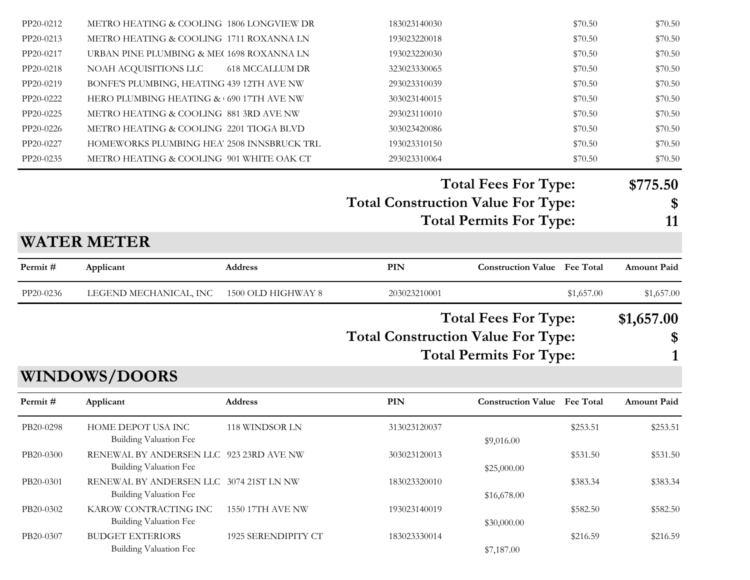| Permit#   | <b>WINDOWS/DOORS</b><br>Applicant          | <b>Address</b>                           | PIN                                       | <b>Construction Value Fee Total</b> |                    | <b>Amount Paid</b> |
|-----------|--------------------------------------------|------------------------------------------|-------------------------------------------|-------------------------------------|--------------------|--------------------|
|           |                                            |                                          |                                           |                                     |                    |                    |
|           |                                            |                                          |                                           |                                     |                    |                    |
|           |                                            |                                          |                                           | <b>Total Permits For Type:</b>      |                    |                    |
|           |                                            |                                          |                                           |                                     |                    | \$                 |
|           |                                            |                                          | <b>Total Construction Value For Type:</b> | <b>Total Fees For Type:</b>         |                    | \$1,657.00         |
| PP20-0236 | LEGEND MECHANICAL, INC                     | 1500 OLD HIGHWAY 8                       | 203023210001                              |                                     | \$1,657.00         | \$1,657.00         |
| Permit#   | Applicant                                  | <b>Address</b>                           | PIN                                       | <b>Construction Value Fee Total</b> |                    | <b>Amount Paid</b> |
|           | <b>WATER METER</b>                         |                                          |                                           |                                     |                    |                    |
|           |                                            |                                          |                                           | <b>Total Permits For Type:</b>      |                    | 11                 |
|           |                                            |                                          | <b>Total Construction Value For Type:</b> |                                     |                    | \$                 |
|           |                                            |                                          |                                           | <b>Total Fees For Type:</b>         |                    | \$775.50           |
| PP20-0235 | METRO HEATING & COOLING 901 WHITE OAK CT   |                                          | 293023310064                              |                                     | \$70.50            | \$70.50            |
| PP20-0227 | HOMEWORKS PLUMBING HEA' 2508 INNSBRUCK TRL |                                          | 193023310150                              |                                     | \$70.50            | \$70.50            |
| PP20-0226 | METRO HEATING & COOLING 2201 TIOGA BLVD    |                                          | 303023420086                              |                                     | \$70.50            | \$70.50            |
| PP20-0225 | METRO HEATING & COOLING 881 3RD AVE NW     |                                          | 293023110010                              |                                     | \$70.50            | \$70.50            |
| PP20-0222 | HERO PLUMBING HEATING & 690 17TH AVE NW    |                                          | 303023140015                              |                                     | \$70.50            | \$70.50            |
| PP20-0219 | BONFE'S PLUMBING, HEATING 439 12TH AVE NW  |                                          | 293023310039                              |                                     | \$70.50            | \$70.50            |
| PP20-0218 | NOAH ACQUISITIONS LLC                      | <b>618 MCCALLUM DR</b>                   | 323023330065                              |                                     | \$70.50            | \$70.50            |
| PP20-0217 | URBAN PINE PLUMBING & ME(1698 ROXANNA LN   |                                          | 193023220030                              |                                     | \$70.50            | \$70.50            |
| PP20-0213 | METRO HEATING & COOLING 1711 ROXANNA LN    |                                          | 183023140030<br>193023220018              |                                     | \$70.50<br>\$70.50 | \$70.50<br>\$70.50 |
| PP20-0212 |                                            | METRO HEATING & COOLING 1806 LONGVIEW DR |                                           |                                     |                    |                    |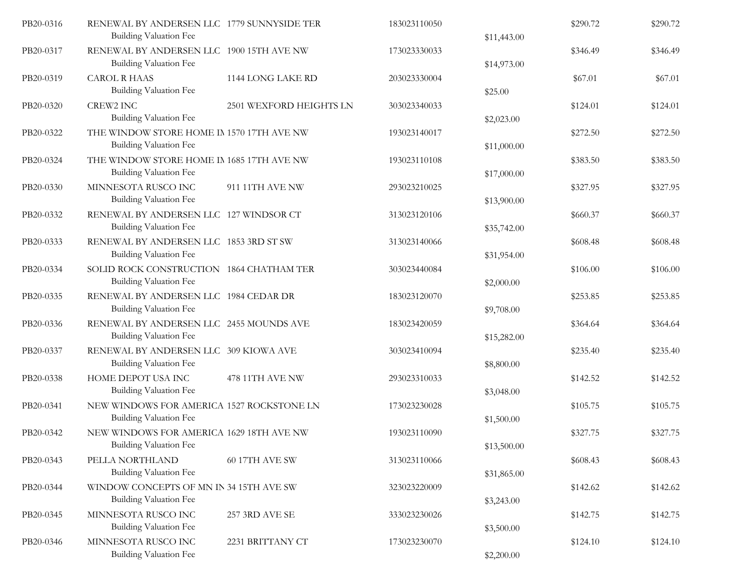| PB20-0316 | RENEWAL BY ANDERSEN LLC 1779 SUNNYSIDE TER<br><b>Building Valuation Fee</b> |                         | 183023110050 | \$11,443.00 | \$290.72 | \$290.72 |
|-----------|-----------------------------------------------------------------------------|-------------------------|--------------|-------------|----------|----------|
| PB20-0317 | RENEWAL BY ANDERSEN LLC 1900 15TH AVE NW<br><b>Building Valuation Fee</b>   |                         | 173023330033 | \$14,973.00 | \$346.49 | \$346.49 |
| PB20-0319 | <b>CAROL R HAAS</b><br><b>Building Valuation Fee</b>                        | 1144 LONG LAKE RD       | 203023330004 | \$25.00     | \$67.01  | \$67.01  |
| PB20-0320 | CREW2 INC<br>Building Valuation Fee                                         | 2501 WEXFORD HEIGHTS LN | 303023340033 | \$2,023.00  | \$124.01 | \$124.01 |
| PB20-0322 | THE WINDOW STORE HOME IN 1570 17TH AVE NW<br><b>Building Valuation Fee</b>  |                         | 193023140017 | \$11,000.00 | \$272.50 | \$272.50 |
| PB20-0324 | THE WINDOW STORE HOME IN 1685 17TH AVE NW<br><b>Building Valuation Fee</b>  |                         | 193023110108 | \$17,000.00 | \$383.50 | \$383.50 |
| PB20-0330 | MINNESOTA RUSCO INC<br><b>Building Valuation Fee</b>                        | 911 11TH AVE NW         | 293023210025 | \$13,900.00 | \$327.95 | \$327.95 |
| PB20-0332 | RENEWAL BY ANDERSEN LLC 127 WINDSOR CT<br><b>Building Valuation Fee</b>     |                         | 313023120106 | \$35,742.00 | \$660.37 | \$660.37 |
| PB20-0333 | RENEWAL BY ANDERSEN LLC 1853 3RD ST SW<br>Building Valuation Fee            |                         | 313023140066 | \$31,954.00 | \$608.48 | \$608.48 |
| PB20-0334 | SOLID ROCK CONSTRUCTION 1864 CHATHAM TER<br>Building Valuation Fee          |                         | 303023440084 | \$2,000.00  | \$106.00 | \$106.00 |
| PB20-0335 | RENEWAL BY ANDERSEN LLC 1984 CEDAR DR<br><b>Building Valuation Fee</b>      |                         | 183023120070 | \$9,708.00  | \$253.85 | \$253.85 |
| PB20-0336 | RENEWAL BY ANDERSEN LLC 2455 MOUNDS AVE<br><b>Building Valuation Fee</b>    |                         | 183023420059 | \$15,282.00 | \$364.64 | \$364.64 |
| PB20-0337 | RENEWAL BY ANDERSEN LLC 309 KIOWA AVE<br><b>Building Valuation Fee</b>      |                         | 303023410094 | \$8,800.00  | \$235.40 | \$235.40 |
| PB20-0338 | HOME DEPOT USA INC<br><b>Building Valuation Fee</b>                         | 478 11TH AVE NW         | 293023310033 | \$3,048.00  | \$142.52 | \$142.52 |
| PB20-0341 | NEW WINDOWS FOR AMERICA 1527 ROCKSTONE LN<br>Building Valuation Fee         |                         | 173023230028 | \$1,500.00  | \$105.75 | \$105.75 |
| PB20-0342 | NEW WINDOWS FOR AMERICA 1629 18TH AVE NW<br><b>Building Valuation Fee</b>   |                         | 193023110090 | \$13,500.00 | \$327.75 | \$327.75 |
| PB20-0343 | PELLA NORTHLAND<br><b>Building Valuation Fee</b>                            | 60 17TH AVE SW          | 313023110066 | \$31,865.00 | \$608.43 | \$608.43 |
| PB20-0344 | WINDOW CONCEPTS OF MN IN 34 15TH AVE SW<br>Building Valuation Fee           |                         | 323023220009 | \$3,243.00  | \$142.62 | \$142.62 |
| PB20-0345 | MINNESOTA RUSCO INC<br><b>Building Valuation Fee</b>                        | 257 3RD AVE SE          | 333023230026 | \$3,500.00  | \$142.75 | \$142.75 |
| PB20-0346 | MINNESOTA RUSCO INC<br>Building Valuation Fee                               | 2231 BRITTANY CT        | 173023230070 | \$2,200.00  | \$124.10 | \$124.10 |